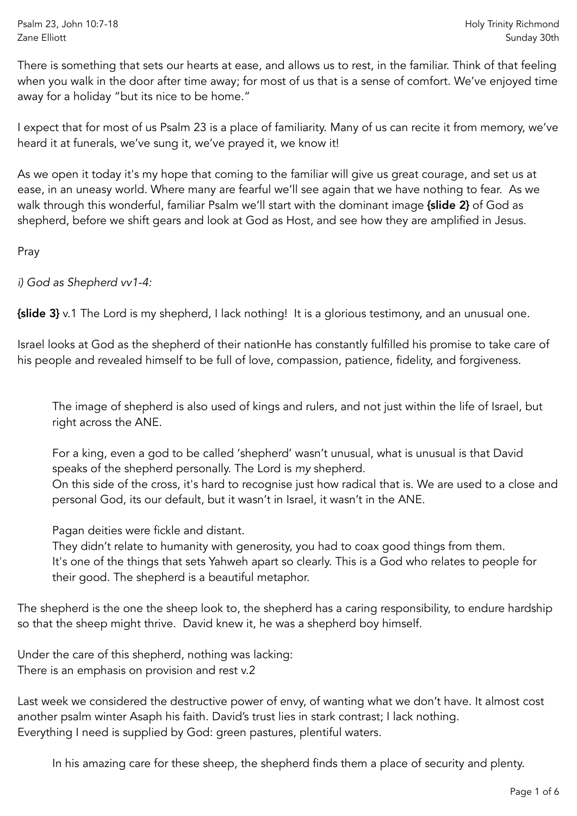Psalm 23, John 10:7-18 Zane Elliott

There is something that sets our hearts at ease, and allows us to rest, in the familiar. Think of that feeling when you walk in the door after time away; for most of us that is a sense of comfort. We've enjoyed time away for a holiday "but its nice to be home."

I expect that for most of us Psalm 23 is a place of familiarity. Many of us can recite it from memory, we've heard it at funerals, we've sung it, we've prayed it, we know it!

As we open it today it's my hope that coming to the familiar will give us great courage, and set us at ease, in an uneasy world. Where many are fearful we'll see again that we have nothing to fear. As we walk through this wonderful, familiar Psalm we'll start with the dominant image {slide 2} of God as shepherd, before we shift gears and look at God as Host, and see how they are amplified in Jesus.

Pray

*i) God as Shepherd vv1-4:* 

{slide 3} v.1 The Lord is my shepherd, I lack nothing! It is a glorious testimony, and an unusual one.

Israel looks at God as the shepherd of their nationHe has constantly fulfilled his promise to take care of his people and revealed himself to be full of love, compassion, patience, fidelity, and forgiveness.

The image of shepherd is also used of kings and rulers, and not just within the life of Israel, but right across the ANE.

For a king, even a god to be called 'shepherd' wasn't unusual, what is unusual is that David speaks of the shepherd personally. The Lord is *my* shepherd. On this side of the cross, it's hard to recognise just how radical that is. We are used to a close and personal God, its our default, but it wasn't in Israel, it wasn't in the ANE.

Pagan deities were fickle and distant.

They didn't relate to humanity with generosity, you had to coax good things from them. It's one of the things that sets Yahweh apart so clearly. This is a God who relates to people for their good. The shepherd is a beautiful metaphor.

The shepherd is the one the sheep look to, the shepherd has a caring responsibility, to endure hardship so that the sheep might thrive. David knew it, he was a shepherd boy himself.

Under the care of this shepherd, nothing was lacking: There is an emphasis on provision and rest v.2

Last week we considered the destructive power of envy, of wanting what we don't have. It almost cost another psalm winter Asaph his faith. David's trust lies in stark contrast; I lack nothing. Everything I need is supplied by God: green pastures, plentiful waters.

In his amazing care for these sheep, the shepherd finds them a place of security and plenty.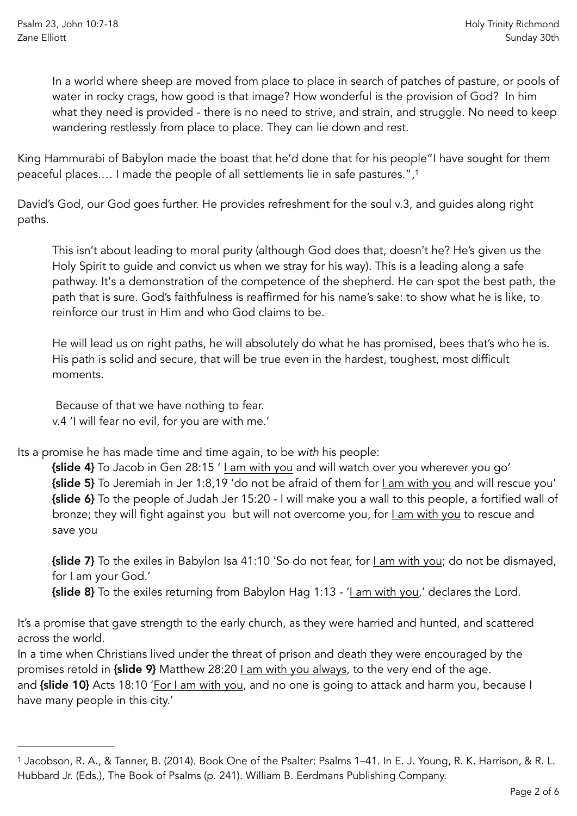In a world where sheep are moved from place to place in search of patches of pasture, or pools of water in rocky crags, how good is that image? How wonderful is the provision of God? In him what they need is provided - there is no need to strive, and strain, and struggle. No need to keep wandering restlessly from place to place. They can lie down and rest.

King Hammurabi of Babylon made the boast that he'd done that for his people"I have sought for them peaceful places.… I made the people of all settlements lie in safe pastures."[,1](#page-1-0)

David's God, our God goes further. He provides refreshment for the soul v.3, and guides along right paths.

<span id="page-1-1"></span>This isn't about leading to moral purity (although God does that, doesn't he? He's given us the Holy Spirit to guide and convict us when we stray for his way). This is a leading along a safe pathway. It's a demonstration of the competence of the shepherd. He can spot the best path, the path that is sure. God's faithfulness is reaffirmed for his name's sake: to show what he is like, to reinforce our trust in Him and who God claims to be.

He will lead us on right paths, he will absolutely do what he has promised, bees that's who he is. His path is solid and secure, that will be true even in the hardest, toughest, most difficult moments.

 Because of that we have nothing to fear. v.4 'I will fear no evil, for you are with me.'

Its a promise he has made time and time again, to be *with* his people:

{slide 4} To Jacob in Gen 28:15 ' I am with you and will watch over you wherever you go' {slide 5} To Jeremiah in Jer 1:8,19 'do not be afraid of them for I am with you and will rescue you' {slide 6} To the people of Judah Jer 15:20 - I will make you a wall to this people, a fortified wall of bronze; they will fight against you but will not overcome you, for I am with you to rescue and save you

{slide 7} To the exiles in Babylon Isa 41:10 'So do not fear, for I am with you; do not be dismayed, for I am your God.'

{slide 8} To the exiles returning from Babylon Hag 1:13 - 'I am with you,' declares the Lord.

It's a promise that gave strength to the early church, as they were harried and hunted, and scattered across the world.

In a time when Christians lived under the threat of prison and death they were encouraged by the promises retold in {slide 9} Matthew 28:20 Lam with you always, to the very end of the age. and {slide 10} Acts 18:10 'For I am with you, and no one is going to attack and harm you, because I have many people in this city.'

<span id="page-1-0"></span><sup>&</sup>lt;sup>[1](#page-1-1)</sup> Jacobson, R. A., & Tanner, B. (2014). Book One of the Psalter: Psalms 1–41. In E. J. Young, R. K. Harrison, & R. L. Hubbard Jr. (Eds.), The Book of Psalms (p. 241). William B. Eerdmans Publishing Company.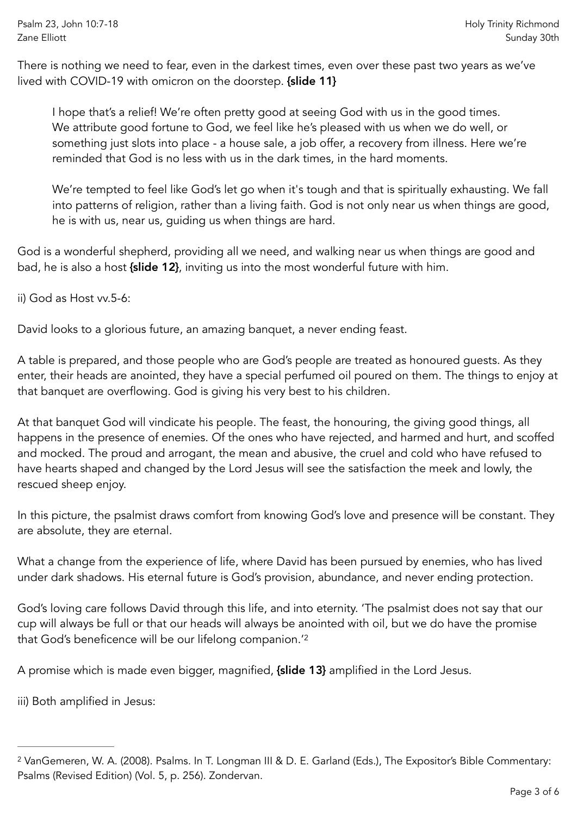There is nothing we need to fear, even in the darkest times, even over these past two years as we've lived with COVID-19 with omicron on the doorstep. {slide 11}

I hope that's a relief! We're often pretty good at seeing God with us in the good times. We attribute good fortune to God, we feel like he's pleased with us when we do well, or something just slots into place - a house sale, a job offer, a recovery from illness. Here we're reminded that God is no less with us in the dark times, in the hard moments.

We're tempted to feel like God's let go when it's tough and that is spiritually exhausting. We fall into patterns of religion, rather than a living faith. God is not only near us when things are good, he is with us, near us, guiding us when things are hard.

God is a wonderful shepherd, providing all we need, and walking near us when things are good and bad, he is also a host {slide 12}, inviting us into the most wonderful future with him.

ii) God as Host vv.5-6:

David looks to a glorious future, an amazing banquet, a never ending feast.

A table is prepared, and those people who are God's people are treated as honoured guests. As they enter, their heads are anointed, they have a special perfumed oil poured on them. The things to enjoy at that banquet are overflowing. God is giving his very best to his children.

At that banquet God will vindicate his people. The feast, the honouring, the giving good things, all happens in the presence of enemies. Of the ones who have rejected, and harmed and hurt, and scoffed and mocked. The proud and arrogant, the mean and abusive, the cruel and cold who have refused to have hearts shaped and changed by the Lord Jesus will see the satisfaction the meek and lowly, the rescued sheep enjoy.

In this picture, the psalmist draws comfort from knowing God's love and presence will be constant. They are absolute, they are eternal.

What a change from the experience of life, where David has been pursued by enemies, who has lived under dark shadows. His eternal future is God's provision, abundance, and never ending protection.

<span id="page-2-1"></span>God's loving care follows David through this life, and into eternity. 'The psalmist does not say that our cup will always be full or that our heads will always be anointed with oil, but we do have the promise that God's beneficence will be our lifelong companion.'[2](#page-2-0)

A promise which is made even bigger, magnified, {slide 13} amplified in the Lord Jesus.

iii) Both amplified in Jesus:

<span id="page-2-0"></span><sup>&</sup>lt;sup>[2](#page-2-1)</sup> VanGemeren, W. A. (2008). Psalms. In T. Longman III & D. E. Garland (Eds.), The Expositor's Bible Commentary: Psalms (Revised Edition) (Vol. 5, p. 256). Zondervan.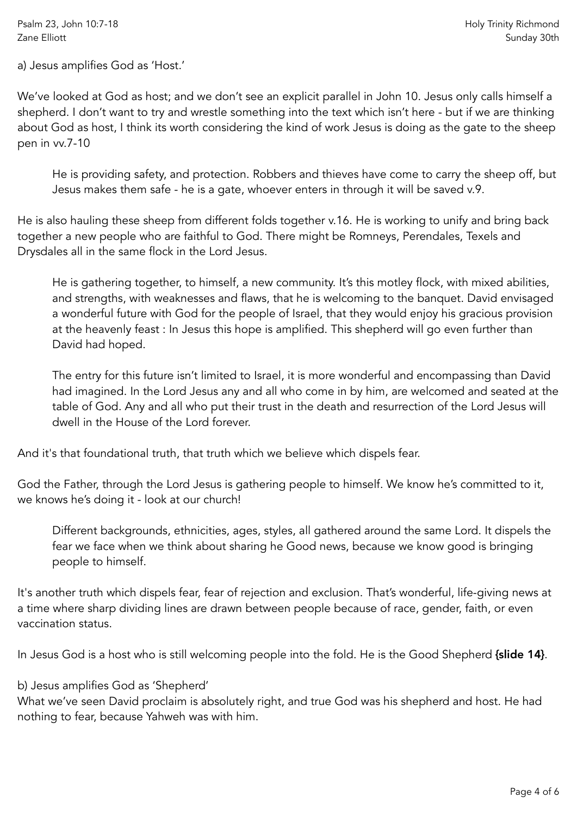a) Jesus amplifies God as 'Host.'

We've looked at God as host; and we don't see an explicit parallel in John 10. Jesus only calls himself a shepherd. I don't want to try and wrestle something into the text which isn't here - but if we are thinking about God as host, I think its worth considering the kind of work Jesus is doing as the gate to the sheep pen in vv.7-10

He is providing safety, and protection. Robbers and thieves have come to carry the sheep off, but Jesus makes them safe - he is a gate, whoever enters in through it will be saved v.9.

He is also hauling these sheep from different folds together v.16. He is working to unify and bring back together a new people who are faithful to God. There might be Romneys, Perendales, Texels and Drysdales all in the same flock in the Lord Jesus.

He is gathering together, to himself, a new community. It's this motley flock, with mixed abilities, and strengths, with weaknesses and flaws, that he is welcoming to the banquet. David envisaged a wonderful future with God for the people of Israel, that they would enjoy his gracious provision at the heavenly feast : In Jesus this hope is amplified. This shepherd will go even further than David had hoped.

The entry for this future isn't limited to Israel, it is more wonderful and encompassing than David had imagined. In the Lord Jesus any and all who come in by him, are welcomed and seated at the table of God. Any and all who put their trust in the death and resurrection of the Lord Jesus will dwell in the House of the Lord forever.

And it's that foundational truth, that truth which we believe which dispels fear.

God the Father, through the Lord Jesus is gathering people to himself. We know he's committed to it, we knows he's doing it - look at our church!

Different backgrounds, ethnicities, ages, styles, all gathered around the same Lord. It dispels the fear we face when we think about sharing he Good news, because we know good is bringing people to himself.

It's another truth which dispels fear, fear of rejection and exclusion. That's wonderful, life-giving news at a time where sharp dividing lines are drawn between people because of race, gender, faith, or even vaccination status.

In Jesus God is a host who is still welcoming people into the fold. He is the Good Shepherd (slide 14).

b) Jesus amplifies God as 'Shepherd'

What we've seen David proclaim is absolutely right, and true God was his shepherd and host. He had nothing to fear, because Yahweh was with him.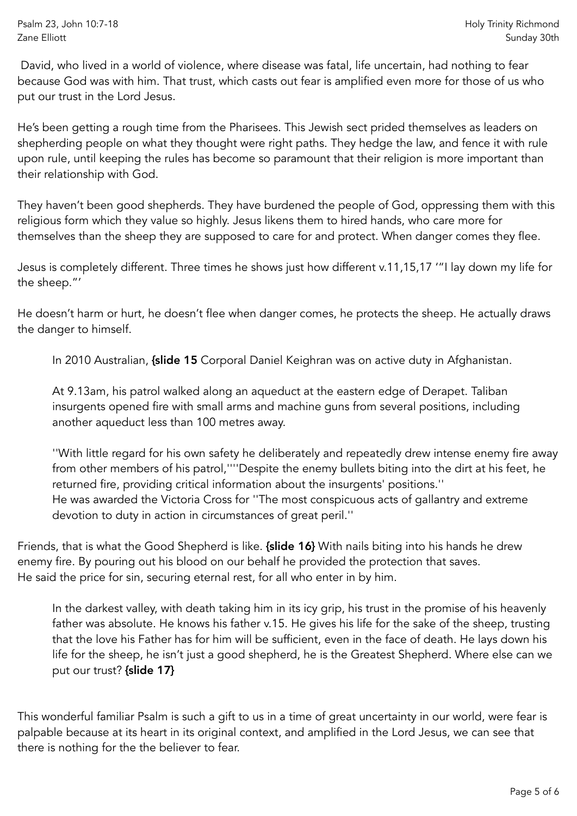David, who lived in a world of violence, where disease was fatal, life uncertain, had nothing to fear because God was with him. That trust, which casts out fear is amplified even more for those of us who put our trust in the Lord Jesus.

He's been getting a rough time from the Pharisees. This Jewish sect prided themselves as leaders on shepherding people on what they thought were right paths. They hedge the law, and fence it with rule upon rule, until keeping the rules has become so paramount that their religion is more important than their relationship with God.

They haven't been good shepherds. They have burdened the people of God, oppressing them with this religious form which they value so highly. Jesus likens them to hired hands, who care more for themselves than the sheep they are supposed to care for and protect. When danger comes they flee.

Jesus is completely different. Three times he shows just how different v.11,15,17 '"I lay down my life for the sheep."'

He doesn't harm or hurt, he doesn't flee when danger comes, he protects the sheep. He actually draws the danger to himself.

In 2010 Australian, *{slide 15 Corporal Daniel Keighran was on active duty in Afghanistan.* 

At 9.13am, his patrol walked along an aqueduct at the eastern edge of Derapet. Taliban insurgents opened fire with small arms and machine guns from several positions, including another aqueduct less than 100 metres away.

''With little regard for his own safety he deliberately and repeatedly drew intense enemy fire away from other members of his patrol,''''Despite the enemy bullets biting into the dirt at his feet, he returned fire, providing critical information about the insurgents' positions.'' He was awarded the Victoria Cross for ''The most conspicuous acts of gallantry and extreme devotion to duty in action in circumstances of great peril.''

Friends, that is what the Good Shepherd is like. {slide 16} With nails biting into his hands he drew enemy fire. By pouring out his blood on our behalf he provided the protection that saves. He said the price for sin, securing eternal rest, for all who enter in by him.

In the darkest valley, with death taking him in its icy grip, his trust in the promise of his heavenly father was absolute. He knows his father v.15. He gives his life for the sake of the sheep, trusting that the love his Father has for him will be sufficient, even in the face of death. He lays down his life for the sheep, he isn't just a good shepherd, he is the Greatest Shepherd. Where else can we put our trust? {slide 17}

This wonderful familiar Psalm is such a gift to us in a time of great uncertainty in our world, were fear is palpable because at its heart in its original context, and amplified in the Lord Jesus, we can see that there is nothing for the the believer to fear.